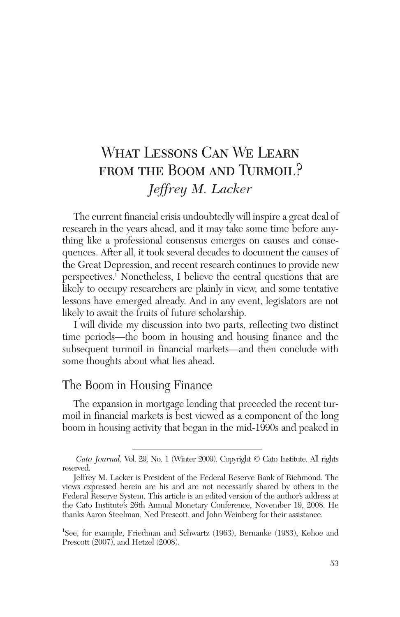# What Lessons Can We Learn FROM THE BOOM AND TURMOIL? *Jeffrey M. Lacker*

The current financial crisis undoubtedly will inspire a great deal of research in the years ahead, and it may take some time before anything like a professional consensus emerges on causes and consequences. After all, it took several decades to document the causes of the Great Depression, and recent research continues to provide new perspectives.1 Nonetheless, I believe the central questions that are likely to occupy researchers are plainly in view, and some tentative lessons have emerged already. And in any event, legislators are not likely to await the fruits of future scholarship.

I will divide my discussion into two parts, reflecting two distinct time periods—the boom in housing and housing finance and the subsequent turmoil in financial markets—and then conclude with some thoughts about what lies ahead.

### The Boom in Housing Finance

The expansion in mortgage lending that preceded the recent turmoil in financial markets is best viewed as a component of the long boom in housing activity that began in the mid-1990s and peaked in

*Cato Journal,* Vol. 29, No. 1 (Winter 2009). Copyright © Cato Institute. All rights reserved.

Jeffrey M. Lacker is President of the Federal Reserve Bank of Richmond. The views expressed herein are his and are not necessarily shared by others in the Federal Reserve System. This article is an edited version of the author's address at the Cato Institute's 26th Annual Monetary Conference, November 19, 2008. He thanks Aaron Steelman, Ned Prescott, and John Weinberg for their assistance.

<sup>1</sup> See, for example, Friedman and Schwartz (1963), Bernanke (1983), Kehoe and Prescott (2007), and Hetzel (2008).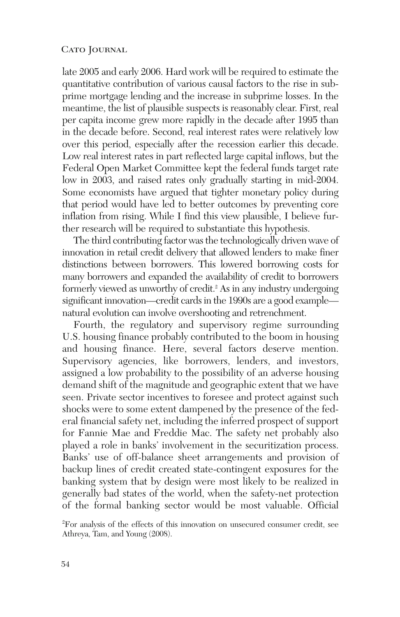late 2005 and early 2006. Hard work will be required to estimate the quantitative contribution of various causal factors to the rise in subprime mortgage lending and the increase in subprime losses. In the meantime, the list of plausible suspects is reasonably clear. First, real per capita income grew more rapidly in the decade after 1995 than in the decade before. Second, real interest rates were relatively low over this period, especially after the recession earlier this decade. Low real interest rates in part reflected large capital inflows, but the Federal Open Market Committee kept the federal funds target rate low in 2003, and raised rates only gradually starting in mid-2004. Some economists have argued that tighter monetary policy during that period would have led to better outcomes by preventing core inflation from rising. While I find this view plausible, I believe further research will be required to substantiate this hypothesis.

The third contributing factor was the technologically driven wave of innovation in retail credit delivery that allowed lenders to make finer distinctions between borrowers. This lowered borrowing costs for many borrowers and expanded the availability of credit to borrowers formerly viewed as unworthy of credit.<sup>2</sup> As in any industry undergoing significant innovation—credit cards in the 1990s are a good example natural evolution can involve overshooting and retrenchment.

Fourth, the regulatory and supervisory regime surrounding U.S. housing finance probably contributed to the boom in housing and housing finance. Here, several factors deserve mention. Supervisory agencies, like borrowers, lenders, and investors, assigned a low probability to the possibility of an adverse housing demand shift of the magnitude and geographic extent that we have seen. Private sector incentives to foresee and protect against such shocks were to some extent dampened by the presence of the federal financial safety net, including the inferred prospect of support for Fannie Mae and Freddie Mac. The safety net probably also played a role in banks' involvement in the securitization process. Banks' use of off-balance sheet arrangements and provision of backup lines of credit created state-contingent exposures for the banking system that by design were most likely to be realized in generally bad states of the world, when the safety-net protection of the formal banking sector would be most valuable. Official

<sup>2</sup> For analysis of the effects of this innovation on unsecured consumer credit, see Athreya, Tam, and Young (2008).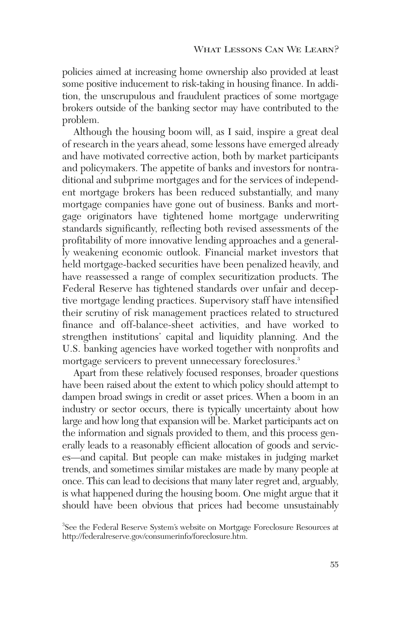policies aimed at increasing home ownership also provided at least some positive inducement to risk-taking in housing finance. In addition, the unscrupulous and fraudulent practices of some mortgage brokers outside of the banking sector may have contributed to the problem.

Although the housing boom will, as I said, inspire a great deal of research in the years ahead, some lessons have emerged already and have motivated corrective action, both by market participants and policymakers. The appetite of banks and investors for nontraditional and subprime mortgages and for the services of independent mortgage brokers has been reduced substantially, and many mortgage companies have gone out of business. Banks and mortgage originators have tightened home mortgage underwriting standards significantly, reflecting both revised assessments of the profitability of more innovative lending approaches and a generally weakening economic outlook. Financial market investors that held mortgage-backed securities have been penalized heavily, and have reassessed a range of complex securitization products. The Federal Reserve has tightened standards over unfair and deceptive mortgage lending practices. Supervisory staff have intensified their scrutiny of risk management practices related to structured finance and off-balance-sheet activities, and have worked to strengthen institutions' capital and liquidity planning. And the U.S. banking agencies have worked together with nonprofits and mortgage servicers to prevent unnecessary foreclosures.<sup>3</sup>

Apart from these relatively focused responses, broader questions have been raised about the extent to which policy should attempt to dampen broad swings in credit or asset prices. When a boom in an industry or sector occurs, there is typically uncertainty about how large and how long that expansion will be. Market participants act on the information and signals provided to them, and this process generally leads to a reasonably efficient allocation of goods and services—and capital. But people can make mistakes in judging market trends, and sometimes similar mistakes are made by many people at once. This can lead to decisions that many later regret and, arguably, is what happened during the housing boom. One might argue that it should have been obvious that prices had become unsustainably

<sup>3</sup> See the Federal Reserve System's website on Mortgage Foreclosure Resources at http://federalreserve.gov/consumerinfo/foreclosure.htm.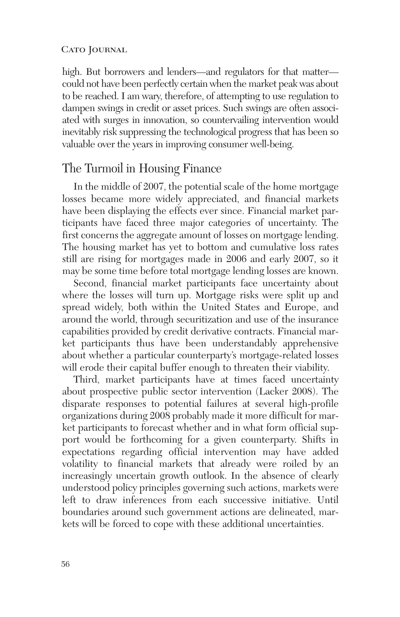high. But borrowers and lenders—and regulators for that matter could not have been perfectly certain when the market peak was about to be reached. I am wary, therefore, of attempting to use regulation to dampen swings in credit or asset prices. Such swings are often associated with surges in innovation, so countervailing intervention would inevitably risk suppressing the technological progress that has been so valuable over the years in improving consumer well-being.

### The Turmoil in Housing Finance

In the middle of 2007, the potential scale of the home mortgage losses became more widely appreciated, and financial markets have been displaying the effects ever since. Financial market participants have faced three major categories of uncertainty. The first concerns the aggregate amount of losses on mortgage lending. The housing market has yet to bottom and cumulative loss rates still are rising for mortgages made in 2006 and early 2007, so it may be some time before total mortgage lending losses are known.

Second, financial market participants face uncertainty about where the losses will turn up. Mortgage risks were split up and spread widely, both within the United States and Europe, and around the world, through securitization and use of the insurance capabilities provided by credit derivative contracts. Financial market participants thus have been understandably apprehensive about whether a particular counterparty's mortgage-related losses will erode their capital buffer enough to threaten their viability.

Third, market participants have at times faced uncertainty about prospective public sector intervention (Lacker 2008). The disparate responses to potential failures at several high-profile organizations during 2008 probably made it more difficult for market participants to forecast whether and in what form official support would be forthcoming for a given counterparty. Shifts in expectations regarding official intervention may have added volatility to financial markets that already were roiled by an increasingly uncertain growth outlook. In the absence of clearly understood policy principles governing such actions, markets were left to draw inferences from each successive initiative. Until boundaries around such government actions are delineated, markets will be forced to cope with these additional uncertainties.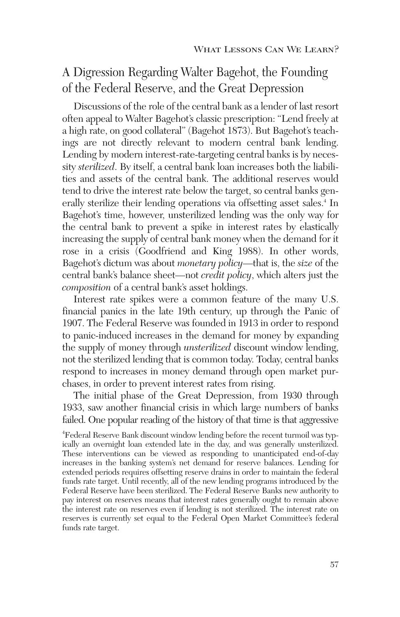## A Digression Regarding Walter Bagehot, the Founding of the Federal Reserve, and the Great Depression

Discussions of the role of the central bank as a lender of last resort often appeal to Walter Bagehot's classic prescription: "Lend freely at a high rate, on good collateral" (Bagehot 1873). But Bagehot's teachings are not directly relevant to modern central bank lending. Lending by modern interest-rate-targeting central banks is by necessity *sterilized*. By itself, a central bank loan increases both the liabilities and assets of the central bank. The additional reserves would tend to drive the interest rate below the target, so central banks generally sterilize their lending operations via offsetting asset sales.<sup>4</sup> In Bagehot's time, however, unsterilized lending was the only way for the central bank to prevent a spike in interest rates by elastically increasing the supply of central bank money when the demand for it rose in a crisis (Goodfriend and King 1988). In other words, Bagehot's dictum was about *monetary policy*—that is, the *size* of the central bank's balance sheet—not *credit policy*, which alters just the *composition* of a central bank's asset holdings.

Interest rate spikes were a common feature of the many U.S. financial panics in the late 19th century, up through the Panic of 1907. The Federal Reserve was founded in 1913 in order to respond to panic-induced increases in the demand for money by expanding the supply of money through *unsterilized* discount window lending, not the sterilized lending that is common today. Today, central banks respond to increases in money demand through open market purchases, in order to prevent interest rates from rising.

The initial phase of the Great Depression, from 1930 through 1933, saw another financial crisis in which large numbers of banks failed. One popular reading of the history of that time is that aggressive

4 Federal Reserve Bank discount window lending before the recent turmoil was typically an overnight loan extended late in the day, and was generally unsterilized. These interventions can be viewed as responding to unanticipated end-of-day increases in the banking system's net demand for reserve balances. Lending for extended periods requires offsetting reserve drains in order to maintain the federal funds rate target. Until recently, all of the new lending programs introduced by the Federal Reserve have been sterilized. The Federal Reserve Banks new authority to pay interest on reserves means that interest rates generally ought to remain above the interest rate on reserves even if lending is not sterilized. The interest rate on reserves is currently set equal to the Federal Open Market Committee's federal funds rate target.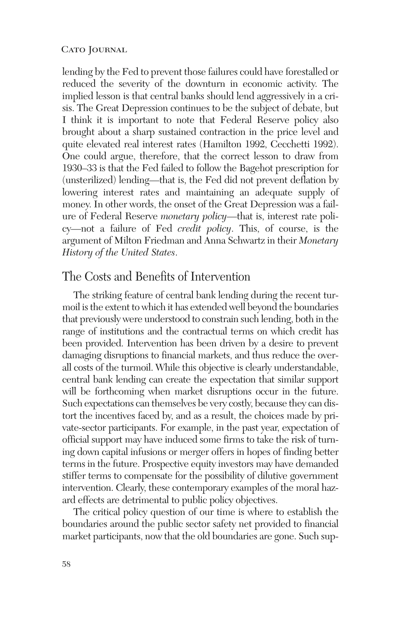lending by the Fed to prevent those failures could have forestalled or reduced the severity of the downturn in economic activity. The implied lesson is that central banks should lend aggressively in a crisis. The Great Depression continues to be the subject of debate, but I think it is important to note that Federal Reserve policy also brought about a sharp sustained contraction in the price level and quite elevated real interest rates (Hamilton 1992, Cecchetti 1992). One could argue, therefore, that the correct lesson to draw from 1930–33 is that the Fed failed to follow the Bagehot prescription for (unsterilized) lending—that is, the Fed did not prevent deflation by lowering interest rates and maintaining an adequate supply of money. In other words, the onset of the Great Depression was a failure of Federal Reserve *monetary policy*—that is, interest rate policy—not a failure of Fed *credit policy*. This, of course, is the argument of Milton Friedman and Anna Schwartz in their *Monetary History of the United States*.

### The Costs and Benefits of Intervention

The striking feature of central bank lending during the recent turmoil is the extent to which it has extended well beyond the boundaries that previously were understood to constrain such lending, both in the range of institutions and the contractual terms on which credit has been provided. Intervention has been driven by a desire to prevent damaging disruptions to financial markets, and thus reduce the overall costs of the turmoil. While this objective is clearly understandable, central bank lending can create the expectation that similar support will be forthcoming when market disruptions occur in the future. Such expectations can themselves be very costly, because they can distort the incentives faced by, and as a result, the choices made by private-sector participants. For example, in the past year, expectation of official support may have induced some firms to take the risk of turning down capital infusions or merger offers in hopes of finding better terms in the future. Prospective equity investors may have demanded stiffer terms to compensate for the possibility of dilutive government intervention. Clearly, these contemporary examples of the moral hazard effects are detrimental to public policy objectives.

The critical policy question of our time is where to establish the boundaries around the public sector safety net provided to financial market participants, now that the old boundaries are gone. Such sup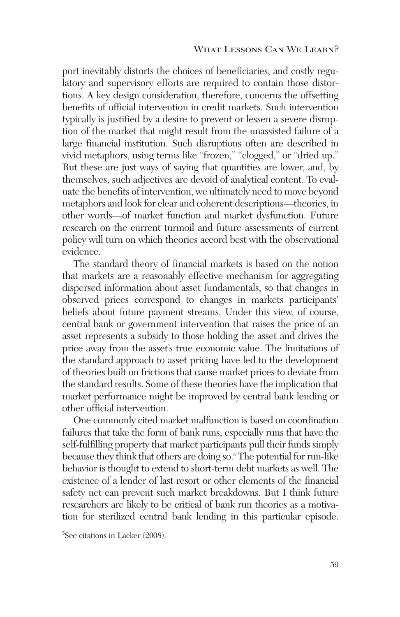port inevitably distorts the choices of beneficiaries, and costly regulatory and supervisory efforts are required to contain those distortions. A key design consideration, therefore, concerns the offsetting benefits of official intervention in credit markets. Such intervention typically is justified by a desire to prevent or lessen a severe disruption of the market that might result from the unassisted failure of a large financial institution. Such disruptions often are described in vivid metaphors, using terms like "frozen," "clogged," or "dried up." But these are just ways of saying that quantities are lower, and, by themselves, such adjectives are devoid of analytical content. To evaluate the benefits of intervention, we ultimately need to move beyond metaphors and look for clear and coherent descriptions—theories, in other words—of market function and market dysfunction. Future research on the current turmoil and future assessments of current policy will turn on which theories accord best with the observational evidence.

The standard theory of financial markets is based on the notion that markets are a reasonably effective mechanism for aggregating dispersed information about asset fundamentals, so that changes in observed prices correspond to changes in markets participants' beliefs about future payment streams. Under this view, of course, central bank or government intervention that raises the price of an asset represents a subsidy to those holding the asset and drives the price away from the asset's true economic value. The limitations of the standard approach to asset pricing have led to the development of theories built on frictions that cause market prices to deviate from the standard results. Some of these theories have the implication that market performance might be improved by central bank lending or other official intervention.

One commonly cited market malfunction is based on coordination failures that take the form of bank runs, especially runs that have the self-fulfilling property that market participants pull their funds simply because they think that others are doing so.5 The potential for run-like behavior is thought to extend to short-term debt markets as well. The existence of a lender of last resort or other elements of the financial safety net can prevent such market breakdowns. But I think future researchers are likely to be critical of bank run theories as a motivation for sterilized central bank lending in this particular episode.

<sup>5</sup> See citations in Lacker (2008).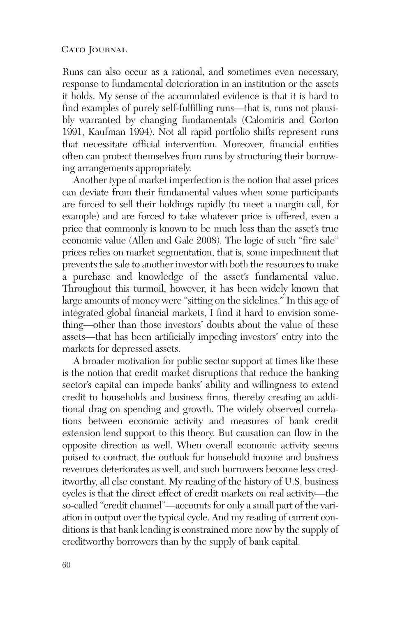Runs can also occur as a rational, and sometimes even necessary, response to fundamental deterioration in an institution or the assets it holds. My sense of the accumulated evidence is that it is hard to find examples of purely self-fulfilling runs—that is, runs not plausibly warranted by changing fundamentals (Calomiris and Gorton 1991, Kaufman 1994). Not all rapid portfolio shifts represent runs that necessitate official intervention. Moreover, financial entities often can protect themselves from runs by structuring their borrowing arrangements appropriately.

Another type of market imperfection is the notion that asset prices can deviate from their fundamental values when some participants are forced to sell their holdings rapidly (to meet a margin call, for example) and are forced to take whatever price is offered, even a price that commonly is known to be much less than the asset's true economic value (Allen and Gale 2008). The logic of such "fire sale" prices relies on market segmentation, that is, some impediment that prevents the sale to another investor with both the resources to make a purchase and knowledge of the asset's fundamental value. Throughout this turmoil, however, it has been widely known that large amounts of money were "sitting on the sidelines." In this age of integrated global financial markets, I find it hard to envision something—other than those investors' doubts about the value of these assets—that has been artificially impeding investors' entry into the markets for depressed assets.

A broader motivation for public sector support at times like these is the notion that credit market disruptions that reduce the banking sector's capital can impede banks' ability and willingness to extend credit to households and business firms, thereby creating an additional drag on spending and growth. The widely observed correlations between economic activity and measures of bank credit extension lend support to this theory. But causation can flow in the opposite direction as well. When overall economic activity seems poised to contract, the outlook for household income and business revenues deteriorates as well, and such borrowers become less creditworthy, all else constant. My reading of the history of U.S. business cycles is that the direct effect of credit markets on real activity—the so-called "credit channel"—accounts for only a small part of the variation in output over the typical cycle. And my reading of current conditions is that bank lending is constrained more now by the supply of creditworthy borrowers than by the supply of bank capital.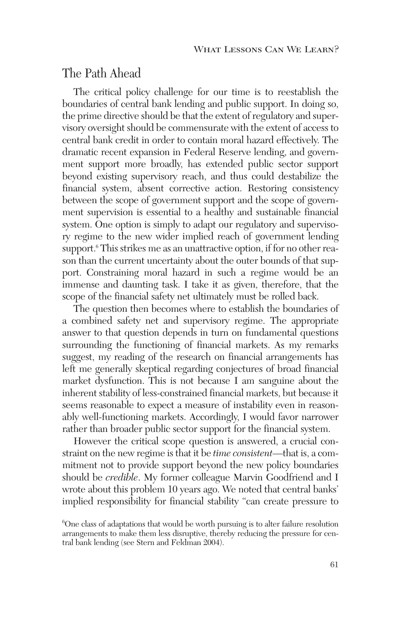### The Path Ahead

The critical policy challenge for our time is to reestablish the boundaries of central bank lending and public support. In doing so, the prime directive should be that the extent of regulatory and supervisory oversight should be commensurate with the extent of access to central bank credit in order to contain moral hazard effectively. The dramatic recent expansion in Federal Reserve lending, and government support more broadly, has extended public sector support beyond existing supervisory reach, and thus could destabilize the financial system, absent corrective action. Restoring consistency between the scope of government support and the scope of government supervision is essential to a healthy and sustainable financial system. One option is simply to adapt our regulatory and supervisory regime to the new wider implied reach of government lending support.<sup>6</sup> This strikes me as an unattractive option, if for no other reason than the current uncertainty about the outer bounds of that support. Constraining moral hazard in such a regime would be an immense and daunting task. I take it as given, therefore, that the scope of the financial safety net ultimately must be rolled back.

The question then becomes where to establish the boundaries of a combined safety net and supervisory regime. The appropriate answer to that question depends in turn on fundamental questions surrounding the functioning of financial markets. As my remarks suggest, my reading of the research on financial arrangements has left me generally skeptical regarding conjectures of broad financial market dysfunction. This is not because I am sanguine about the inherent stability of less-constrained financial markets, but because it seems reasonable to expect a measure of instability even in reasonably well-functioning markets. Accordingly, I would favor narrower rather than broader public sector support for the financial system.

However the critical scope question is answered, a crucial constraint on the new regime is that it be *time consistent*—that is, a commitment not to provide support beyond the new policy boundaries should be *credible*. My former colleague Marvin Goodfriend and I wrote about this problem 10 years ago. We noted that central banks' implied responsibility for financial stability "can create pressure to

<sup>6</sup> One class of adaptations that would be worth pursuing is to alter failure resolution arrangements to make them less disruptive, thereby reducing the pressure for central bank lending (see Stern and Feldman 2004).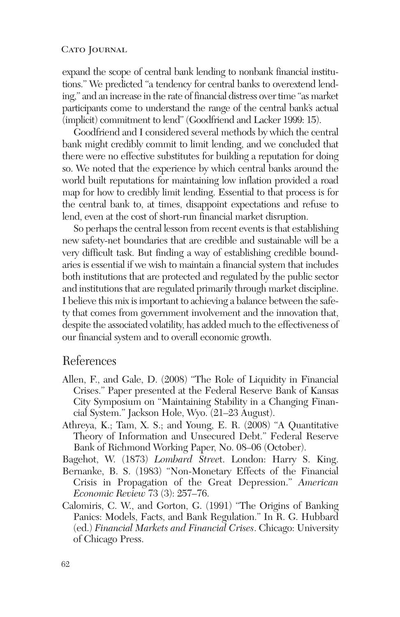expand the scope of central bank lending to nonbank financial institutions." We predicted "a tendency for central banks to overextend lending," and an increase in the rate of financial distress over time "as market participants come to understand the range of the central bank's actual (implicit) commitment to lend" (Goodfriend and Lacker 1999: 15).

Goodfriend and I considered several methods by which the central bank might credibly commit to limit lending, and we concluded that there were no effective substitutes for building a reputation for doing so. We noted that the experience by which central banks around the world built reputations for maintaining low inflation provided a road map for how to credibly limit lending. Essential to that process is for the central bank to, at times, disappoint expectations and refuse to lend, even at the cost of short-run financial market disruption.

So perhaps the central lesson from recent events is that establishing new safety-net boundaries that are credible and sustainable will be a very difficult task. But finding a way of establishing credible boundaries is essential if we wish to maintain a financial system that includes both institutions that are protected and regulated by the public sector and institutions that are regulated primarily through market discipline. I believe this mix is important to achieving a balance between the safety that comes from government involvement and the innovation that, despite the associated volatility, has added much to the effectiveness of our financial system and to overall economic growth.

### References

- Allen, F., and Gale, D. (2008) "The Role of Liquidity in Financial Crises." Paper presented at the Federal Reserve Bank of Kansas City Symposium on "Maintaining Stability in a Changing Financial System." Jackson Hole, Wyo. (21–23 August).
- Athreya, K.; Tam, X. S.; and Young, E. R. (2008) "A Quantitative Theory of Information and Unsecured Debt." Federal Reserve Bank of Richmond Working Paper, No. 08–06 (October).

Bagehot, W. (1873) *Lombard Stree*t. London: Harry S. King.

- Bernanke, B. S. (1983) "Non-Monetary Effects of the Financial Crisis in Propagation of the Great Depression." *American Economic Review* 73 (3): 257–76.
- Calomiris, C. W., and Gorton, G. (1991) "The Origins of Banking Panics: Models, Facts, and Bank Regulation." In R. G. Hubbard (ed.) *Financial Markets and Financial Crises*. Chicago: University of Chicago Press.